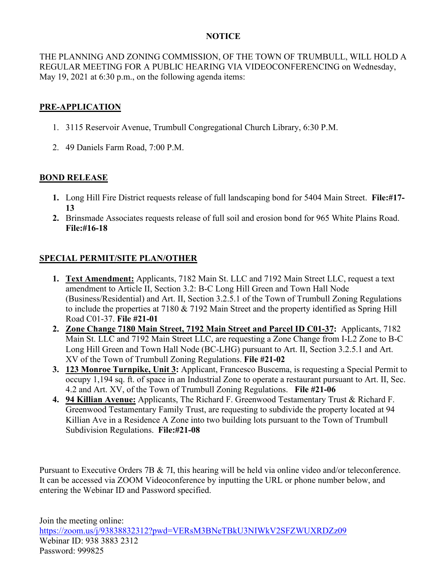## **NOTICE**

THE PLANNING AND ZONING COMMISSION, OF THE TOWN OF TRUMBULL, WILL HOLD A REGULAR MEETING FOR A PUBLIC HEARING VIA VIDEOCONFERENCING on Wednesday, May 19, 2021 at 6:30 p.m., on the following agenda items:

## **PRE-APPLICATION**

- 1. 3115 Reservoir Avenue, Trumbull Congregational Church Library, 6:30 P.M.
- 2. 49 Daniels Farm Road, 7:00 P.M.

## **BOND RELEASE**

- **1.** Long Hill Fire District requests release of full landscaping bond for 5404 Main Street. **File:#17- 13**
- **2.** Brinsmade Associates requests release of full soil and erosion bond for 965 White Plains Road. **File:#16-18**

## **SPECIAL PERMIT/SITE PLAN/OTHER**

- **1. Text Amendment:** Applicants, 7182 Main St. LLC and 7192 Main Street LLC, request a text amendment to Article II, Section 3.2: B-C Long Hill Green and Town Hall Node (Business/Residential) and Art. II, Section 3.2.5.1 of the Town of Trumbull Zoning Regulations to include the properties at 7180 & 7192 Main Street and the property identified as Spring Hill Road C01-37. **File #21-01**
- **2. Zone Change 7180 Main Street, 7192 Main Street and Parcel ID C01-37:** Applicants, 7182 Main St. LLC and 7192 Main Street LLC, are requesting a Zone Change from I-L2 Zone to B-C Long Hill Green and Town Hall Node (BC-LHG) pursuant to Art. II, Section 3.2.5.1 and Art. XV of the Town of Trumbull Zoning Regulations. **File #21-02**
- **3. 123 Monroe Turnpike, Unit 3:** Applicant, Francesco Buscema, is requesting a Special Permit to occupy 1,194 sq. ft. of space in an Industrial Zone to operate a restaurant pursuant to Art. II, Sec. 4.2 and Art. XV, of the Town of Trumbull Zoning Regulations. **File #21-06**
- **4. 94 Killian Avenue:** Applicants, The Richard F. Greenwood Testamentary Trust & Richard F. Greenwood Testamentary Family Trust, are requesting to subdivide the property located at 94 Killian Ave in a Residence A Zone into two building lots pursuant to the Town of Trumbull Subdivision Regulations. **File:#21-08**

Pursuant to Executive Orders 7B & 7I, this hearing will be held via online video and/or teleconference. It can be accessed via ZOOM Videoconference by inputting the URL or phone number below, and entering the Webinar ID and Password specified.